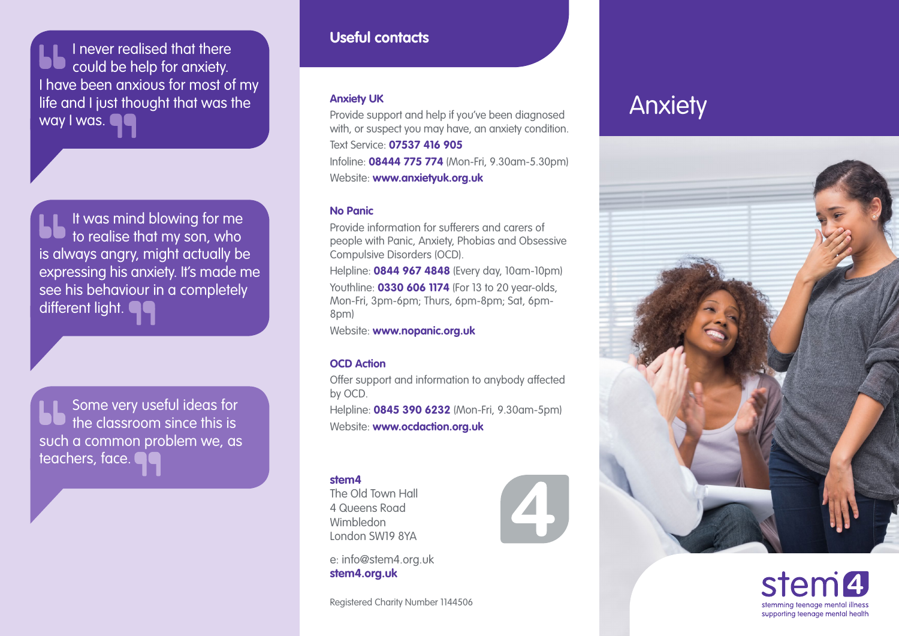I never realised that there could be help for anxiety. I have been anxious for most of my life and I just thought that was the way I was.  $\blacksquare$ 

It was mind blowing for me to realise that my son, who is always angry, might actually be expressing his anxiety. It's made me see his behaviour in a completely different light.

Some very useful ideas for the classroom since this is such a common problem we, as teachers, face.

## **Useful contacts**

#### **Anxiety UK**

Provide support and help if you've been diagnosed with, or suspect you may have, an anxiety condition. Text Service: **07537 416 905** Infoline: **08444 775 774** (Mon-Fri, 9.30am-5.30pm) Website: **[www.anxietyuk.org.uk](http://www.anxietyuk.org.uk)**

### **No Panic**

Provide information for sufferers and carers of people with Panic, Anxiety, Phobias and Obsessive Compulsive Disorders (OCD).

Helpline: **0844 967 4848** (Every day, 10am-10pm) Youthline: **0330 606 1174** (For 13 to 20 year-olds, Mon-Fri, 3pm-6pm; Thurs, 6pm-8pm; Sat, 6pm-8pm)

Website: **[www.nopanic.org.uk](http://www.nopanic.org.uk)**

### **OCD Action**

Offer support and information to anybody affected by OCD.

Helpline: **0845 390 6232** (Mon-Fri, 9.30am-5pm) Website: **[www.ocdaction.org.uk](http://www.ocdaction.org.uk)**

#### **stem4**

The Old Town Hall 4 Queens Road Wimbledon London SW19 8YA

e: info@stem4.org.uk **[stem4.org.uk](http://stem4.org.uk)**

Registered Charity Number 1144506

# Anxiety